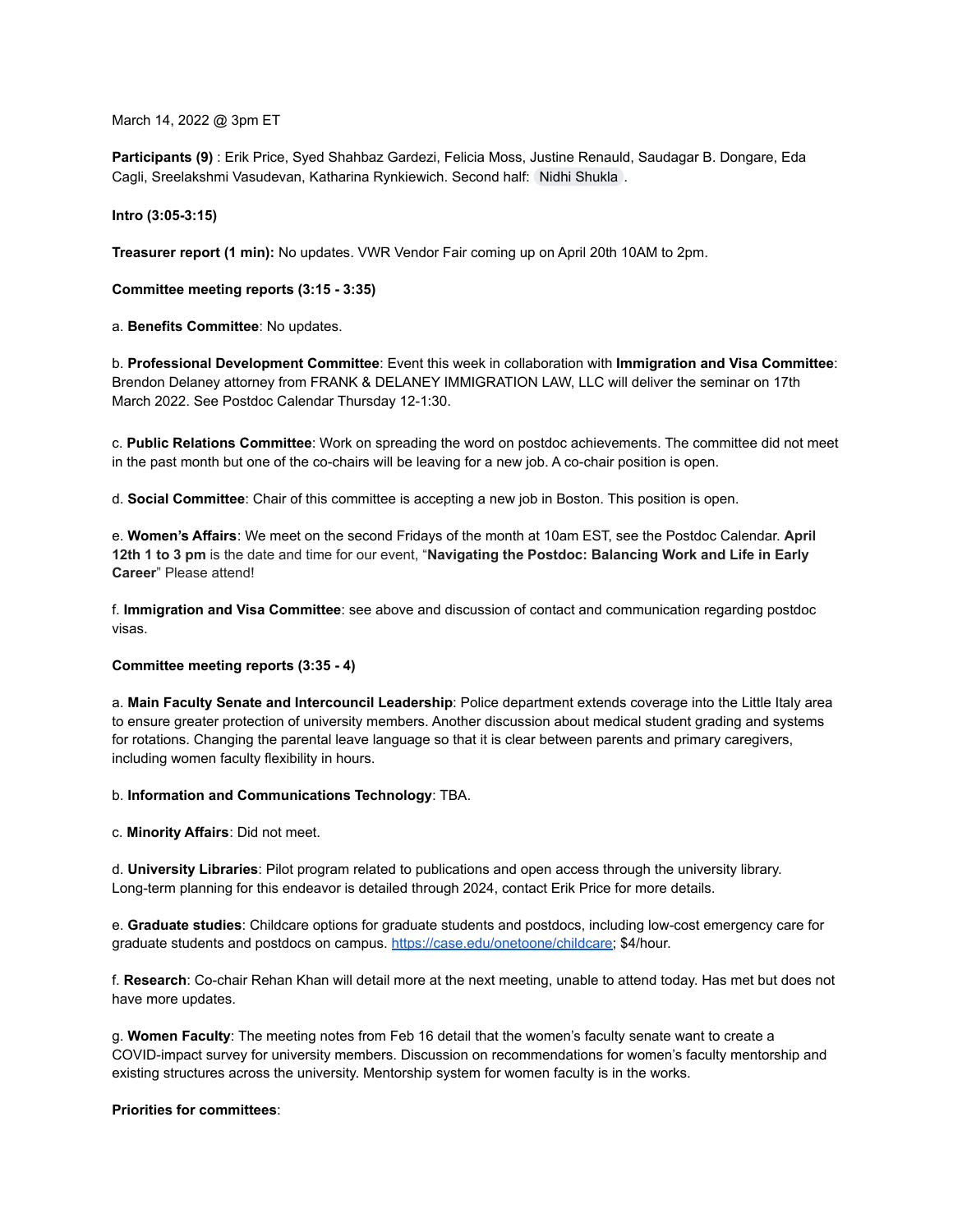March 14, 2022 @ 3pm ET

**Participants (9)** : Erik Price, Syed Shahbaz Gardezi, Felicia Moss, Justine Renauld, Saudagar B. Dongare, Eda Cagli, Sreelakshmi Vasudevan, Katharina Rynkiewich. Second half: [Nidhi Shukla](mailto:nxs664@case.edu) .

## **Intro (3:05-3:15)**

**Treasurer report (1 min):** No updates. VWR Vendor Fair coming up on April 20th 10AM to 2pm.

**Committee meeting reports (3:15 - 3:35)**

a. **Benefits Committee**: No updates.

b. **Professional Development Committee**: Event this week in collaboration with **Immigration and Visa Committee**: Brendon Delaney attorney from FRANK & DELANEY IMMIGRATION LAW, LLC will deliver the seminar on 17th March 2022. See Postdoc Calendar Thursday 12-1:30.

c. **Public Relations Committee**: Work on spreading the word on postdoc achievements. The committee did not meet in the past month but one of the co-chairs will be leaving for a new job. A co-chair position is open.

d. **Social Committee**: Chair of this committee is accepting a new job in Boston. This position is open.

e. **Women's Affairs**: We meet on the second Fridays of the month at 10am EST, see the Postdoc Calendar. **April 12th 1 to 3 pm** is the date and time for our event, "**Navigating the Postdoc: Balancing Work and Life in Early Career**" Please attend!

f. **Immigration and Visa Committee**: see above and discussion of contact and communication regarding postdoc visas.

# **Committee meeting reports (3:35 - 4)**

a. **Main Faculty Senate and Intercouncil Leadership**: Police department extends coverage into the Little Italy area to ensure greater protection of university members. Another discussion about medical student grading and systems for rotations. Changing the parental leave language so that it is clear between parents and primary caregivers, including women faculty flexibility in hours.

b. **Information and Communications Technology**: TBA.

c. **Minority Affairs**: Did not meet.

d. **University Libraries**: Pilot program related to publications and open access through the university library. Long-term planning for this endeavor is detailed through 2024, contact Erik Price for more details.

e. **Graduate studies**: Childcare options for graduate students and postdocs, including low-cost emergency care for graduate students and postdocs on campus. [https://case.edu/onetoone/childcare;](https://case.edu/onetoone/childcare) \$4/hour.

f. **Research**: Co-chair Rehan Khan will detail more at the next meeting, unable to attend today. Has met but does not have more updates.

g. **Women Faculty**: The meeting notes from Feb 16 detail that the women's faculty senate want to create a COVID-impact survey for university members. Discussion on recommendations for women's faculty mentorship and existing structures across the university. Mentorship system for women faculty is in the works.

# **Priorities for committees**: